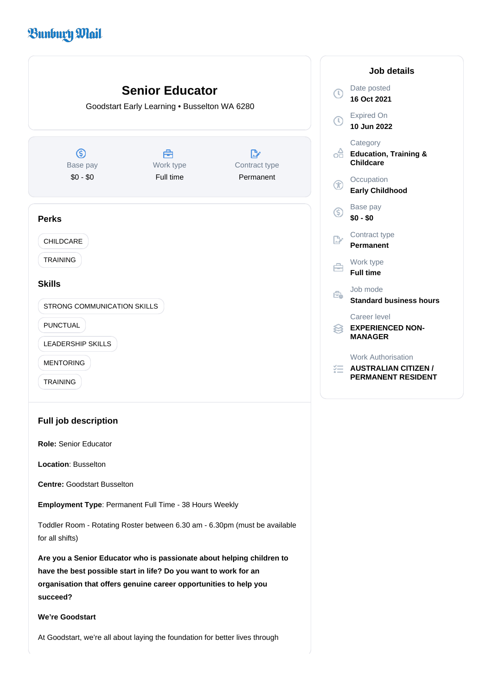# **Bunbury Mail**



**Role:** Senior Educator

**Location**: Busselton

**Centre:** Goodstart Busselton

**Employment Type**: Permanent Full Time - 38 Hours Weekly

Toddler Room - Rotating Roster between 6.30 am - 6.30pm (must be available for all shifts)

**Are you a Senior Educator who is passionate about helping children to have the best possible start in life? Do you want to work for an organisation that offers genuine career opportunities to help you succeed?**

## **We're Goodstart**

At Goodstart, we're all about laying the foundation for better lives through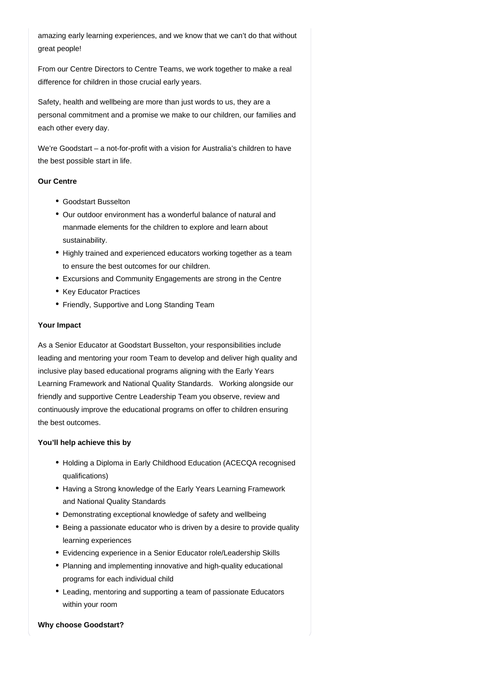amazing early learning experiences, and we know that we can't do that without great people!

From our Centre Directors to Centre Teams, we work together to make a real difference for children in those crucial early years.

Safety, health and wellbeing are more than just words to us, they are a personal commitment and a promise we make to our children, our families and each other every day.

We're Goodstart – a not-for-profit with a vision for Australia's children to have the best possible start in life.

### **Our Centre**

- Goodstart Busselton
- Our outdoor environment has a wonderful balance of natural and manmade elements for the children to explore and learn about sustainability.
- Highly trained and experienced educators working together as a team to ensure the best outcomes for our children.
- Excursions and Community Engagements are strong in the Centre
- Key Educator Practices
- Friendly, Supportive and Long Standing Team

## **Your Impact**

As a Senior Educator at Goodstart Busselton, your responsibilities include leading and mentoring your room Team to develop and deliver high quality and inclusive play based educational programs aligning with the Early Years Learning Framework and National Quality Standards. Working alongside our friendly and supportive Centre Leadership Team you observe, review and continuously improve the educational programs on offer to children ensuring the best outcomes.

## **You'll help achieve this by**

- Holding a Diploma in Early Childhood Education (ACECQA recognised qualifications)
- Having a Strong knowledge of the Early Years Learning Framework and National Quality Standards
- Demonstrating exceptional knowledge of safety and wellbeing
- Being a passionate educator who is driven by a desire to provide quality learning experiences
- Evidencing experience in a Senior Educator role/Leadership Skills
- Planning and implementing innovative and high-quality educational programs for each individual child
- Leading, mentoring and supporting a team of passionate Educators within your room

#### **Why choose Goodstart?**